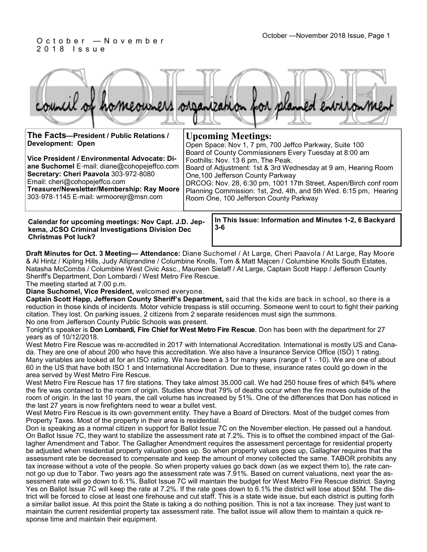#### October —November 2018 Issue, Page 1 O c t o b e r — N o v e m b e r 2 0 1 8 I s s u e

|  |  |  | council of homeowners organization for planned environment |
|--|--|--|------------------------------------------------------------|
|  |  |  |                                                            |

| The Facts-President / Public Relations /<br>Development: Open<br>Vice President / Environmental Advocate: Di-<br>ane Suchomel E-mail: diane@cohopejeffco.com<br>Secretary: Cheri Paavola 303-972-8080<br>Email: cheri@cohopejeffco.com<br>Treasurer/Newsletter/Membership: Ray Moore<br>303-978-1145 E-mail: wrmoorejr@msn.com | <b>Upcoming Meetings:</b><br>Open Space: Nov 1, 7 pm, 700 Jeffco Parkway, Suite 100<br>Board of County Commissioners Every Tuesday at 8:00 am<br>Foothills: Nov. 13 6 pm, The Peak.<br>Board of Adjustment: 1st & 3rd Wednesday at 9 am, Hearing Room<br>One, 100 Jefferson County Parkway<br>DRCOG: Nov. 28, 6:30 pm, 1001 17th Street, Aspen/Birch conf room<br>Planning Commission: 1st, 2nd, 4th, and 5th Wed. 6:15 pm, Hearing<br>Room One, 100 Jefferson County Parkway |
|--------------------------------------------------------------------------------------------------------------------------------------------------------------------------------------------------------------------------------------------------------------------------------------------------------------------------------|-------------------------------------------------------------------------------------------------------------------------------------------------------------------------------------------------------------------------------------------------------------------------------------------------------------------------------------------------------------------------------------------------------------------------------------------------------------------------------|
| Calendar for upcoming meetings: Nov Capt. J.D. Jep-                                                                                                                                                                                                                                                                            | In This Issue: Information and Minutes 1-2, 6 Backyard                                                                                                                                                                                                                                                                                                                                                                                                                        |

**kema, JCSO Criminal Investigations Division Dec Christmas Pot luck?**

**3-6** 

**Draft Minutes for Oct. 3 Meeting— Attendance:** Diane Suchomel / At Large, Cheri Paavola / At Large, Ray Moore & Al Hintz / Kipling Hills, Judy Alliprandine / Columbine Knolls, Tom & Matt Majcen / Columbine Knolls South Estates, Natasha McCombs / Columbine West Civic Assc., Maureen Sielaff / At Large, Captain Scott Happ / Jefferson County Sheriff's Department, Don Lombardi / West Metro Fire Rescue.

The meeting started at 7:00 p.m.

**Diane Suchomel, Vice President,** welcomed everyone.

**Captain Scott Happ, Jefferson County Sheriff's Department,** said that the kids are back in school, so there is a reduction in those kinds of incidents. Motor vehicle trespass is still occurring. Someone went to court to fight their parking citation. They lost. On parking issues, 2 citizens from 2 separate residences must sign the summons. No one from Jefferson County Public Schools was present.

Tonight's speaker is **Don Lombardi, Fire Chief for West Metro Fire Rescue**. Don has been with the department for 27 years as of 10/12/2018.

West Metro Fire Rescue was re-accredited in 2017 with International Accreditation. International is mostly US and Canada. They are one of about 200 who have this accreditation. We also have a Insurance Service Office (ISO) 1 rating. Many variables are looked at for an ISO rating. We have been a 3 for many years (range of 1 - 10). We are one of about 60 in the US that have both ISO 1 and International Accreditation. Due to these, insurance rates could go down in the area served by West Metro Fire Rescue.

West Metro Fire Rescue has 17 fire stations. They take almost 35,000 call. We had 250 house fires of which 84% where the fire was contained to the room of origin. Studies show that 79% of deaths occur when the fire moves outside of the room of origin. In the last 10 years, the call volume has increased by 51%. One of the differences that Don has noticed in the last 27 years is now firefighters need to wear a bullet vest.

West Metro Fire Rescue is its own government entity. They have a Board of Directors. Most of the budget comes from Property Taxes. Most of the property in their area is residential.

Don is speaking as a normal citizen in support for Ballot Issue 7C on the November election. He passed out a handout. On Ballot Issue 7C, they want to stabilize the assessment rate at 7.2%. This is to offset the combined impact of the Gallagher Amendment and Tabor. The Gallagher Amendment requires the assessment percentage for residential property be adjusted when residential property valuation goes up. So when property values goes up, Gallagher requires that the assessment rate be decreased to compensate and keep the amount of money collected the same. TABOR prohibits any tax increase without a vote of the people. So when property values go back down (as we expect them to), the rate cannot go up due to Tabor. Two years ago the assessment rate was 7.91%. Based on current valuations, next year the assessment rate will go down to 6.1%. Ballot Issue 7C will maintain the budget for West Metro Fire Rescue district. Saying Yes on Ballot Issue 7C will keep the rate at 7.2%. If the rate goes down to 6.1% the district will lose about \$5M. The district will be forced to close at least one firehouse and cut staff. This is a state wide issue, but each district is putting forth a similar ballot issue. At this point the State is taking a do nothing position. This is not a tax increase. They just want to maintain the current residential property tax assessment rate. The ballot issue will allow them to maintain a quick response time and maintain their equipment.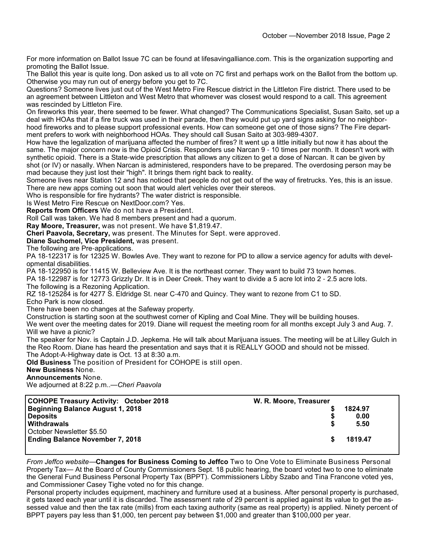For more information on Ballot Issue 7C can be found at lifesavingalliance.com. This is the organization supporting and promoting the Ballot Issue.

The Ballot this year is quite long. Don asked us to all vote on 7C first and perhaps work on the Ballot from the bottom up. Otherwise you may run out of energy before you get to 7C.

Questions? Someone lives just out of the West Metro Fire Rescue district in the Littleton Fire district. There used to be an agreement between Littleton and West Metro that whomever was closest would respond to a call. This agreement was rescinded by Littleton Fire.

On fireworks this year, there seemed to be fewer. What changed? The Communications Specialist, Susan Saito, set up a deal with HOAs that if a fire truck was used in their parade, then they would put up yard signs asking for no neighborhood fireworks and to please support professional events. How can someone get one of those signs? The Fire department prefers to work with neighborhood HOAs. They should call Susan Saito at 303-989-4307.

How have the legalization of marijuana affected the number of fires? It went up a little initially but now it has about the same. The major concern now is the Opioid Crisis. Responders use Narcan 9 - 10 times per month. It doesn't work with synthetic opioid. There is a State-wide prescription that allows any citizen to get a dose of Narcan. It can be given by shot (or IV) or nasally. When Narcan is administered, responders have to be prepared. The overdosing person may be mad because they just lost their "high". It brings them right back to reality.

Someone lives near Station 12 and has noticed that people do not get out of the way of firetrucks. Yes, this is an issue. There are new apps coming out soon that would alert vehicles over their stereos.

Who is responsible for fire hydrants? The water district is responsible.

Is West Metro Fire Rescue on NextDoor.com? Yes.

**Reports from Officers** We do not have a President.

Roll Call was taken. We had 8 members present and had a quorum.

**Ray Moore, Treasurer,** was not present. We have \$1,819.47.

**Cheri Paavola, Secretary,** was present. The Minutes for Sept. were approved.

**Diane Suchomel, Vice President,** was present.

The following are Pre-applications.

PA 18-122317 is for 12325 W. Bowles Ave. They want to rezone for PD to allow a service agency for adults with developmental disabilities.

PA 18-122950 is for 11415 W. Belleview Ave. It is the northeast corner. They want to build 73 town homes.

PA 18-122987 is for 12773 Grizzly Dr. It is in Deer Creek. They want to divide a 5 acre lot into 2 - 2.5 acre lots. The following is a Rezoning Application.

RZ 18-125284 is for 4277 S. Eldridge St. near C-470 and Quincy. They want to rezone from C1 to SD.

Echo Park is now closed.

There have been no changes at the Safeway property.

Construction is starting soon at the southwest corner of Kipling and Coal Mine. They will be building houses.

We went over the meeting dates for 2019. Diane will request the meeting room for all months except July 3 and Aug. 7. Will we have a picnic?

The speaker for Nov. is Captain J.D. Jepkema. He will talk about Marijuana issues. The meeting will be at Lilley Gulch in the Reo Room. Diane has heard the presentation and says that it is REALLY GOOD and should not be missed. The Adopt-A-Highway date is Oct. 13 at 8:30 a.m.

**Old Business** The position of President for COHOPE is still open.

**New Business** None.

#### **Announcements** None.

We adjourned at 8:22 p.m..—*Cheri Paavola*

| <b>COHOPE Treasury Activity: October 2018</b> | W. R. Moore, Treasurer |         |
|-----------------------------------------------|------------------------|---------|
| Beginning Balance August 1, 2018              |                        | 1824.97 |
| <b>Deposits</b>                               |                        | 0.00    |
| Withdrawals                                   |                        | 5.50    |
| October Newsletter \$5.50                     |                        |         |
| <b>Ending Balance November 7, 2018</b>        |                        | 1819.47 |
|                                               |                        |         |

*From Jeffco website*—**Changes for Business Coming to Jeffco** Two to One Vote to Eliminate Business Personal Property Tax— At the Board of County Commissioners Sept. 18 public hearing, the board voted two to one to eliminate the General Fund Business Personal Property Tax (BPPT). Commissioners Libby Szabo and Tina Francone voted yes, and Commissioner Casey Tighe voted no for this change.

Personal property includes equipment, machinery and furniture used at a business. After personal property is purchased, it gets taxed each year until it is discarded. The assessment rate of 29 percent is applied against its value to get the assessed value and then the tax rate (mills) from each taxing authority (same as real property) is applied. Ninety percent of BPPT payers pay less than \$1,000, ten percent pay between \$1,000 and greater than \$100,000 per year.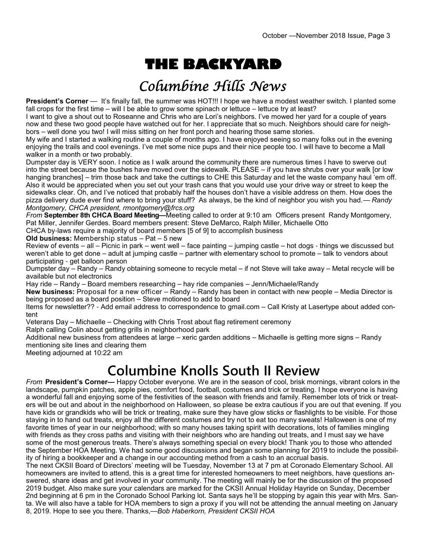# **THE BACKYARD**

## Columbine Hills News

**President's Corner** — It's finally fall, the summer was HOT!!! I hope we have a modest weather switch. I planted some fall crops for the first time – will I be able to grow some spinach or lettuce – lettuce try at least?

I want to give a shout out to Roseanne and Chris who are Lori's neighbors. I've mowed her yard for a couple of years now and these two good people have watched out for her. I appreciate that so much. Neighbors should care for neighbors – well done you two! I will miss sitting on her front porch and hearing those same stories.

My wife and I started a walking routine a couple of months ago. I have enjoyed seeing so many folks out in the evening enjoying the trails and cool evenings. I've met some nice pups and their nice people too. I will have to become a Mall walker in a month or two probably.

Dumpster day is VERY soon. I notice as I walk around the community there are numerous times I have to swerve out into the street because the bushes have moved over the sidewalk. PLEASE – if you have shrubs over your walk [or low hanging branches] – trim those back and take the cuttings to CHE this Saturday and let the waste company haul 'em off. Also it would be appreciated when you set out your trash cans that you would use your drive way or street to keep the sidewalks clear. Oh, and I've noticed that probably half the houses don't have a visible address on them. How does the pizza delivery dude ever find where to bring your stuff? As always, be the kind of neighbor you wish you had.— *Randy Montgomery, CHCA president, rmontgomery@frcs.org*

*From* **September 8th CHCA Board Meeting—**Meeting called to order at 9:10 am Officers present Randy Montgomery, Pat Miller, Jennifer Gerdes. Board members present: Steve DeMarco, Ralph Miller, Michaelle Otto

CHCA by-laws require a majority of board members [5 of 9] to accomplish business

**Old business:** Membership status – Pat – 5 new

Review of events – all – Picnic in park – went well – face painting – jumping castle – hot dogs - things we discussed but weren't able to get done – adult at jumping castle – partner with elementary school to promote – talk to vendors about participating - get balloon person

Dumpster day – Randy – Randy obtaining someone to recycle metal – if not Steve will take away – Metal recycle will be available but not electronics

Hay ride – Randy – Board members researching – hay ride companies – Jenn/Michaele/Randy

**New business:** Proposal for a new officer – Randy – Randy has been in contact with new people – Media Director is being proposed as a board position – Steve motioned to add to board

Items for newsletter?? - Add email address to correspondence to gmail.com – Call Kristy at Lasertype about added content

Veterans Day – Michaelle – Checking with Chris Trost about flag retirement ceremony

Ralph calling Colin about getting grills in neighborhood park

Additional new business from attendees at large – xeric garden additions – Michaelle is getting more signs – Randy mentioning site lines and clearing them

Meeting adjourned at 10:22 am

## **Columbine Knolls South II Review**

*From* **President's Corner—** Happy October everyone. We are in the season of cool, brisk mornings, vibrant colors in the landscape, pumpkin patches, apple pies, comfort food, football, costumes and trick or treating. I hope everyone is having a wonderful fall and enjoying some of the festivities of the season with friends and family. Remember lots of trick or treaters will be out and about in the neighborhood on Halloween, so please be extra cautious if you are out that evening. If you have kids or grandkids who will be trick or treating, make sure they have glow sticks or flashlights to be visible. For those staying in to hand out treats, enjoy all the different costumes and try not to eat too many sweats! Halloween is one of my favorite times of year in our neighborhood; with so many houses taking spirit with decorations, lots of families mingling with friends as they cross paths and visiting with their neighbors who are handing out treats, and I must say we have some of the most generous treats. There's always something special on every block! Thank you to those who attended the September HOA Meeting. We had some good discussions and began some planning for 2019 to include the possibility of hiring a bookkeeper and a change in our accounting method from a cash to an accrual basis.

The next CKSII Board of Directors' meeting will be Tuesday, November 13 at 7 pm at Coronado Elementary School. All homeowners are invited to attend, this is a great time for interested homeowners to meet neighbors, have questions answered, share ideas and get involved in your community. The meeting will mainly be for the discussion of the proposed 2019 budget. Also make sure your calendars are marked for the CKSII Annual Holiday Hayride on Sunday, December 2nd beginning at 6 pm in the Coronado School Parking lot. Santa says he'll be stopping by again this year with Mrs. Santa. We will also have a table for HOA members to sign a proxy if you will not be attending the annual meeting on January 8, 2019. Hope to see you there. Thanks,—*Bob Haberkorn, President CKSII HOA*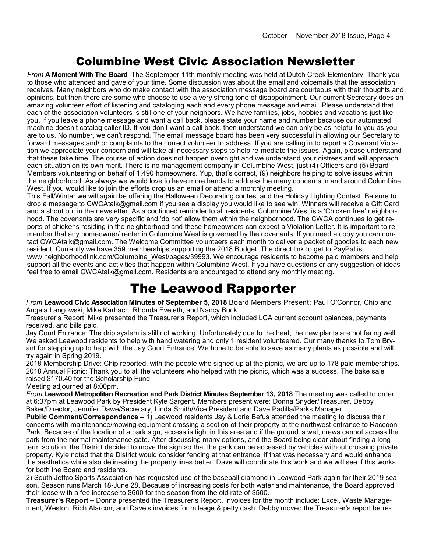### Columbine West Civic Association Newsletter

*From* **A Moment With The Board** The September 11th monthly meeting was held at Dutch Creek Elementary. Thank you to those who attended and gave of your time. Some discussion was about the email and voicemails that the association receives. Many neighbors who do make contact with the association message board are courteous with their thoughts and opinions, but then there are some who choose to use a very strong tone of disappointment. Our current Secretary does an amazing volunteer effort of listening and cataloging each and every phone message and email. Please understand that each of the association volunteers is still one of your neighbors. We have families, jobs, hobbies and vacations just like you. If you leave a phone message and want a call back, please state your name and number because our automated machine doesn't catalog caller ID. If you don't want a call back, then understand we can only be as helpful to you as you are to us. No number, we can't respond. The email message board has been very successful in allowing our Secretary to forward messages and/ or complaints to the correct volunteer to address. If you are calling in to report a Covenant Violation we appreciate your concern and will take all necessary steps to help re-mediate the issues. Again, please understand that these take time. The course of action does not happen overnight and we understand your distress and will approach each situation on its own merit. There is no management company in Columbine West, just (4) Officers and (5) Board Members volunteering on behalf of 1,490 homeowners. Yup, that's correct, (9) neighbors helping to solve issues within the neighborhood. As always we would love to have more hands to address the many concerns in and around Columbine West. If you would like to join the efforts drop us an email or attend a monthly meeting.

This Fall/Winter we will again be offering the Halloween Decorating contest and the Holiday Lighting Contest. Be sure to drop a message to CWCAtalk@gmail.com if you see a display you would like to see win. Winners will receive a Gift Card and a shout out in the newsletter. As a continued reminder to all residents, Columbine West is a 'Chicken free' neighborhood. The covenants are very specific and 'do not' allow them within the neighborhood. The CWCA continues to get reports of chickens residing in the neighborhood and these homeowners can expect a Violation Letter. It is important to remember that any homeowner/ renter in Columbine West is governed by the covenants. If you need a copy you can contact CWCAtalk@gmail.com. The Welcome Committee volunteers each month to deliver a packet of goodies to each new resident. Currently we have 359 memberships supporting the 2018 Budget. The direct link to get to PayPal is www.neighborhoodlink.com/Columbine\_West/pages/39993. We encourage residents to become paid members and help support all the events and activities that happen within Columbine West. If you have questions or any suggestion of ideas feel free to email CWCAtalk@gmail.com. Residents are encouraged to attend any monthly meeting.

### The Leawood Rapporter

*From* **Leawood Civic Association Minutes of September 5, 2018** Board Members Present: Paul O'Connor, Chip and Angela Langowski, Mike Karbach, Rhonda Eveleth, and Nancy Bock.

Treasurer's Report: Mike presented the Treasurer's Report, which included LCA current account balances, payments received, and bills paid.

Jay Court Entrance: The drip system is still not working. Unfortunately due to the heat, the new plants are not faring well. We asked Leawood residents to help with hand watering and only 1 resident volunteered. Our many thanks to Tom Bryant for stepping up to help with the Jay Court Entrance! We hope to be able to save as many plants as possible and will try again in Spring 2019.

2018 Membership Drive: Chip reported, with the people who signed up at the picnic, we are up to 178 paid memberships. 2018 Annual Picnic: Thank you to all the volunteers who helped with the picnic, which was a success. The bake sale raised \$170.40 for the Scholarship Fund.

Meeting adjourned at 8:00pm.

*From* **Leawood Metropolitan Recreation and Park District Minutes September 13, 2018** The meeting was called to order at 6:37pm at Leawood Park by President Kyle Sargent. Members present were: Donna Snyder/Treasurer, Debby Baker/Director, Jennifer Dawe/Secretary, Linda Smith/Vice President and Dave Padilla/Parks Manager.

**Public Comment/Correspondence –** 1) Leawood residents Jay & Lorie Befus attended the meeting to discuss their concerns with maintenance/mowing equipment crossing a section of their property at the northwest entrance to Raccoon Park. Because of the location of a park sign, access is tight in this area and if the ground is wet, crews cannot access the park from the normal maintenance gate. After discussing many options, and the Board being clear about finding a longterm solution, the District decided to move the sign so that the park can be accessed by vehicles without crossing private property. Kyle noted that the District would consider fencing at that entrance, if that was necessary and would enhance the aesthetics while also delineating the property lines better. Dave will coordinate this work and we will see if this works for both the Board and residents.

2) South Jeffco Sports Association has requested use of the baseball diamond in Leawood Park again for their 2019 season. Season runs March 18-June 28. Because of increasing costs for both water and maintenance, the Board approved their lease with a fee increase to \$600 for the season from the old rate of \$500.

**Treasurer's Report –** Donna presented the Treasurer's Report. Invoices for the month include: Excel, Waste Management, Weston, Rich Alarcon, and Dave's invoices for mileage & petty cash. Debby moved the Treasurer's report be re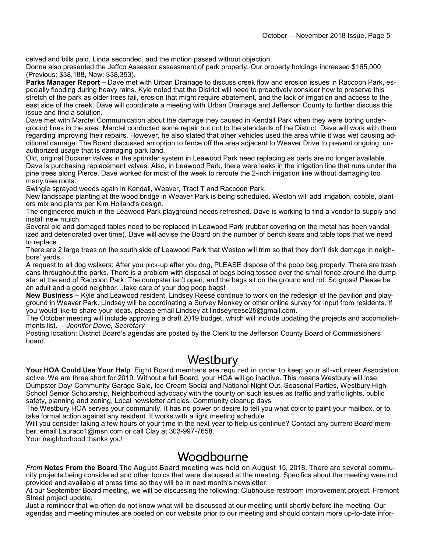ceived and bills paid, Linda seconded, and the motion passed without objection.

Donna also presented the Jeffco Assessor assessment of park property. Our property holdings increased \$165,000 (Previous: \$38,188, New: \$38,353).

**Parks Manager Report –** Dave met with Urban Drainage to discuss creek flow and erosion issues in Raccoon Park, especially flooding during heavy rains. Kyle noted that the District will need to proactively consider how to preserve this stretch of the park as older trees fail, erosion that might require abatement, and the lack of irrigation and access to the east side of the creek. Dave will coordinate a meeting with Urban Drainage and Jefferson County to further discuss this issue and find a solution.

Dave met with Marctel Communication about the damage they caused in Kendall Park when they were boring underground lines in the area. Marctel conducted some repair but not to the standards of the District. Dave will work with them regarding improving their repairs. However, he also stated that other vehicles used the area while it was wet causing additional damage. The Board discussed an option to fence off the area adjacent to Weaver Drive to prevent ongoing, unauthorized usage that is damaging park land.

Old, original Buckner valves in the sprinkler system in Leawood Park need replacing as parts are no longer available. Dave is purchasing replacement valves. Also, in Leawood Park, there were leaks in the irrigation line that runs under the pine trees along Pierce. Dave worked for most of the week to reroute the 2-inch irrigation line without damaging too many tree roots.

Swingle sprayed weeds again in Kendall, Weaver, Tract T and Raccoon Park.

New landscape planting at the wood bridge in Weaver Park is being scheduled. Weston will add irrigation, cobble, planters mix and plants per Kim Holland's design.

The engineered mulch in the Leawood Park playground needs refreshed. Dave is working to find a vendor to supply and install new mulch.

Several old and damaged tables need to be replaced in Leawood Park (rubber covering on the metal has been vandalized and deteriorated over time). Dave will advise the Board on the number of bench seats and table tops that we need to replace.

There are 2 large trees on the south side of Leawood Park that Weston will trim so that they don't risk damage in neighbors' yards.

A request to all dog walkers: After you pick-up after you dog, PLEASE dispose of the poop bag properly. There are trash cans throughout the parks. There is a problem with disposal of bags being tossed over the small fence around the dumpster at the end of Raccoon Park. The dumpster isn't open, and the bags sit on the ground and rot. So gross! Please be an adult and a good neighbor…take care of your dog poop bags!

**New Business** – Kyle and Leawood resident, Lindsey Reese continue to work on the redesign of the pavilion and playground in Weaver Park. Lindsey will be coordinating a Survey Monkey or other online survey for input from residents. If you would like to share your ideas, please email Lindsey at lindseyreese25@gmail.com.

The October meeting will include approving a draft 2019 budget, which will include updating the projects and accomplishments list. —*Jennifer Dawe, Secretary*

Posting location: District Board's agendas are posted by the Clerk to the Jefferson County Board of Commissioners board.

## Westbury

**Your HOA Could Use Your Help** Eight Board members are required in order to keep your all-volunteer Association active. We are three short for 2019. Without a full Board, your HOA will go inactive. This means Westbury will lose: Dumpster Day/ Community Garage Sale, Ice Cream Social and National Night Out, Seasonal Parties, Westbury High School Senior Scholarship, Neighborhood advocacy with the county on such issues as traffic and traffic lights, public safety, planning and zoning, Local newsletter articles, Community cleanup days

The Westbury HOA serves your community. It has no power or desire to tell you what color to paint your mailbox, or to take formal action against any resident. It works with a light meeting schedule.

Will you consider taking a few hours of your time in the next year to help us continue? Contact any current Board member, email Lauraco1@msn.com or call Clay at 303-997-7658.

Your neighborhood thanks you!

#### Woodbourne

*From* **Notes From the Board** The August Board meeting was held on August 15, 2018. There are several community projects being considered and other topics that were discussed at the meeting. Specifics about the meeting were not provided and available at press time so they will be in next month's newsletter.

At our September Board meeting, we will be discussing the following: Clubhouse restroom improvement project, Fremont Street project update.

Just a reminder that we often do not know what will be discussed at our meeting until shortly before the meeting. Our agendas and meeting minutes are posted on our website prior to our meeting and should contain more up-to-date infor-